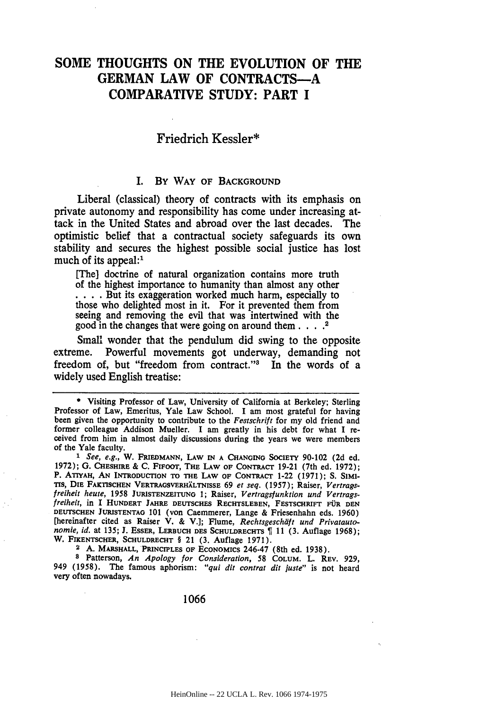# **SOME THOUGHTS ON THE EVOLUTION OF THE GERMAN LAW OF CONTRACTS-A COMPARATIVE STUDY: PART I**

## **Friedrich** Kessler\*

# I. **By WAY OF BACKGROUND**

Liberal (classical) theory of contracts with its emphasis on private autonomy and responsibility has come under increasing attack in the United States and abroad over the last decades. The optimistic belief that a contractual society safeguards its own stability and secures the highest possible social justice has lost much of its appeal:<sup>1</sup>

**[The]** doctrine of natural organization contains more truth of the highest importance to humanity than almost any other **.. .** .But its exaggeration worked much harm, especially to those who delighted most in it. For it prevented them from seeing and removing the evil that was intertwined with the good in the changes that were going on around them **....** 2

Small wonder that the pendulum did swing to the opposite extreme. Powerful movements got underway, demanding not freedom of, but "freedom from contract."<sup>3</sup> In the words of a widely used English treatise:

**2 A. MARSHALL, "PRINCIPLES OF ECONOMICS** 246-47 (8th **ed. 1938).**

**8 Patterson,** *An Apology* for Consideration, **58 COLUM. L. REV. 929, 949 (1958). The famous aphorism:** *"qui dit contrat dit juste"* **is not heard very often nowadays.**

**1066**

<sup>\*</sup> **Visiting Professor** of Law, University of California at Berkeley; Sterling Professor of Law, Emeritus, Yale Law School. **I** am most grateful for having been given the opportunity to contribute to the *Festschrift* for my old friend and former colleague Addison Mueller. I am greatly in his debt for what **I** re- ceived from him in almost daily discussions during the years we were members of the Yale faculty.

*<sup>1</sup> See, e.g.,* **W.** FREDMANN, **LAW IN A CHANGING SOCIETY 90-102 (2d** ed. **1972); G. CHESHIRE & C.** FinOOr, **THE LAW OF CONTRACT 19-21** (7th ed. **1972); P. ATIYAH, AN INTRODUCTION TO THE LAW OF CONTRACT** 1-22 **(1971); S. SIMiris, DIE FAKTISCHEN** VERTRAGSVERHXLTNISSE **69** *et seq.* **(1957);** Raiser, *Vertragsfreiheit heute,* **1958** JURISTENZEITUNG **1; Raiser,** *Vertragsfunktion und Vertrags-* freiheit, **in I HUNDERT JAHRE DEUTSCHES RECHTSLEBEN, FESTSCHRIFT FUR DEN DEUTSCHEN JURISTENTAG 101 (von Caemmerer, Lange &** Friesenhahn eds. **1960) [hereinafter cited as Raiser V. & V.]; Flume,** *Rechtsgeschdft und Privatautonomie, id.* at 135; **J. ESSER, LERBUCH DES SCHULDRECHTS**  $\parallel$  11 (3. Auflage 1968); **W. FIKENTSCHER, SCHULDRECHT § 21 (3. Auflage 1971).**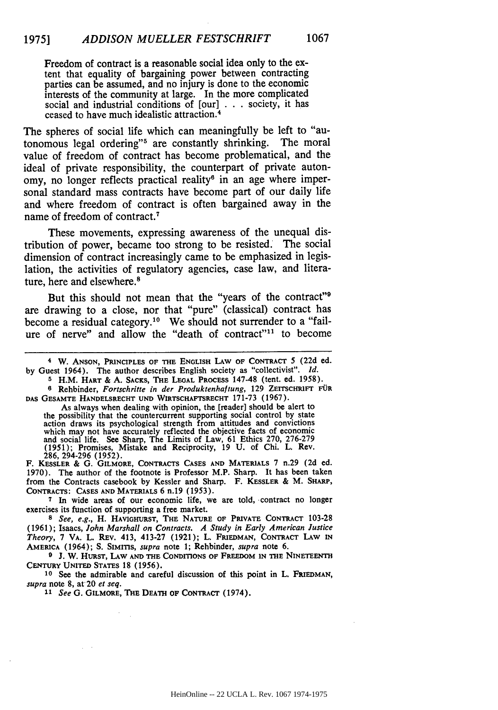Freedom of contract is a reasonable social idea only to the extent that equality of bargaining power between contracting parties can be assumed, and no injury is done to the economic interests of the community at large. In the more complicated social and industrial conditions of [our] **...**society, it has ceased to have much idealistic attraction. <sup>4</sup>

The spheres of social life which can meaningfully be left to "autonomous legal ordering"5 are constantly shrinking. The moral value of freedom of contract has become problematical, and the ideal of private responsibility, the counterpart of private autonomy, no longer reflects practical reality<sup>6</sup> in an age where impersonal standard mass contracts have become part of our daily life and where freedom of contract is often bargained away in the name of freedom of contract. <sup>7</sup>

These movements, expressing awareness of the unequal distribution of power, became too strong to be resisted. The social dimension of contract increasingly came to be emphasized in legislation, the activities of regulatory agencies, case law, and literature, here and elsewhere.<sup>8</sup>

But this should not mean that the "years of the contract"<sup>9</sup> are drawing to a close, nor that "pure" (classical) contract has become a residual category.<sup>10</sup> We should not surrender to a "failure of nerve" and allow the "death of contract"<sup>11</sup> to become

**4** W. **ANSON, PRINCIPLES** OF **THE** ENGLISH LAW OF **CONTRACT** 5 **(22d** ed. **by** Guest 1964). The author **describes English society as "collectivist".** *id.*

**5** H.M. **HART** & **A. SACKS, THE LEGAL PROCESS** 147-48 (tent. ed. **1958). 6 Rehbinder,** *Fortschritte* in der Produktenhaftung, **129 ZErrScHRIFT FOR**

**DAS GESAMTE HANDELSRECHT UND WIRTSCHAFTSRECHT** 171-73 **(1967).**

As always when dealing with opinion, the [reader] should be alert to the possibility that the countercurrent supporting social control **by** state action draws its psychological strength from attitudes and convictions which may not have accurately reflected the objective facts of economic and social life. See Sharp, The Limits of Law, **61** Ethics **270, 276-279 (1951);** Promises, Mistake and Reciprocity, **19 U.** of Chi. L. Rev.

**286,** 294-296 **(1952).** F. **KESSLER** & **G. GILMORE, CONTRACTS CASES AND MATERIALS** 7 n.29 **(2d** ed. **1970).** The author of the footnote is Professor M.P. Sharp. It has been taken from the Contracts casebook **by** Kessler and Sharp. F. **KESSLER** & M. SHARP, **CONTRACTS: CASES AND MATERIALS** 6 n.19 **(1953).**

**7 In** wide areas of our economic life, we are told, contract no longer exercises its function of supporting a free market.

*8 See, e.g.,* H. **HAVIGHURST, THE NATURE OF PRIVATE CONTRACT 103-28** (1961); Isaacs, *John Marshall on Contracts. A Study in Early American Justice Theory,* 7 VA. L. REv. 413, 413-27 (1921); L. **FRIEDMAN,** CONTRACT LAw **IN** AMERICA (1964); S. SIMrnS, *supra* note **1;** Rehbinder, *supra* **note** 6.

**9 J.** W. **HURST,** LAW **AND THE CONDITIONS OF** FREEDOM **IN THE NINETEENTH CENTURY UNITED STATES 18 (1956).**

**10** See the admirable and careful discussion of this point in L. FRIEDMAN, *supra* note **8,** at 20 *et seq.*

*11 See* **G. GILMORE, THE DEATH OF CONTRACT** (1974).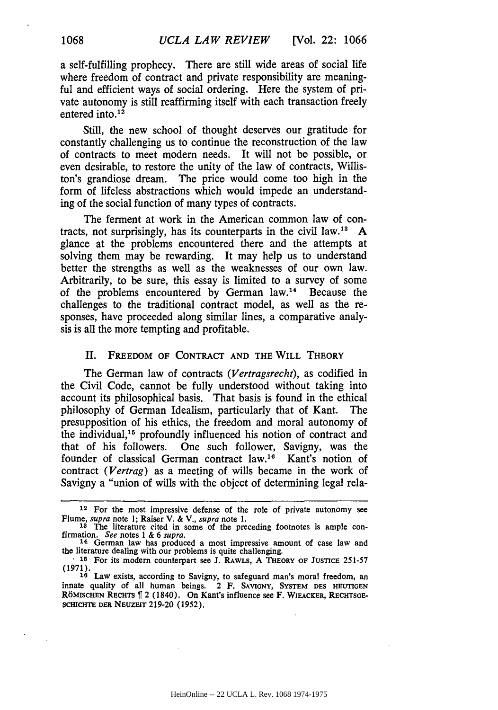a self-fulfilling prophecy. There are still wide areas of social life where freedom of contract and private responsibility are meaningful and efficient ways of social ordering. Here the system of private autonomy is still reaffirming itself with each transaction freely entered into. $12$ 

Still, the new school of thought deserves our gratitude for constantly challenging us to continue the reconstruction of the law of contracts to meet modern needs. It will not **be** possible, or even desirable, to restore the unity of the law of contracts, Williston's grandiose dream. The price would come too high in the form of lifeless abstractions which would impede an understanding of the social function of many types of contracts.

The ferment at work in the American common law of contracts, not surprisingly, has its counterparts in the civil law.<sup>13</sup>  $\mathbf{A}$ glance at the problems encountered there and the attempts at solving them may be rewarding. It may help us to understand better the strengths as well as the weaknesses of our own law. Arbitrarily, to be sure, this essay is limited to a survey of some of the problems encountered by German  $law.<sup>14</sup>$  Because the challenges to the traditional contract model, as well as the responses, have proceeded along similar lines, a comparative analysis is all the more tempting and profitable.

### II. FREEDOM OF **CONTRACT AND** THE WILL THEORY

The German law of contracts *(Vertragsrecht),* as codified in the Civil Code, cannot be fully understood without taking into account its philosophical basis. That basis is found in the ethical philosophy of German Idealism, particularly that of Kant. The presupposition of his ethics, the freedom and moral autonomy of the individual, 15 profoundly influenced his notion of contract and that of his followers. One such follower, Savigny, was the founder of classical German contract law.<sup>16</sup> Kant's notion of contract *(Vertrag)* as a meeting of wills became in the work of Savigny a "union of wills with the object of determining legal rela-

**<sup>12</sup>** For the most impressive defense of the role of private autonomy see Flume, *supra* note 1; Raiser V. & V., *supra* note 1.<br>
<sup>13</sup> The literature cited in some of the preceding footnotes is ample con-

firmation. *See* notes **1 & 6** *supra.* **<sup>14</sup>**German law has produced a most impressive amount of case law and

the literature dealing with our problems is quite challenging.

**<sup>15</sup>** For its modem counterpart see **J.** RAWLS, **A** THEORY **OF JUSTICE** 251-57 (1971).

<sup>&</sup>lt;sup>16</sup> Law exists, according to Savigny, to safeguard man's moral freedom, an innate quality of all human beings. 2 F. SAVIGNY, SYSTEM DES HEUTIGEN RÖMISCHEN RECHTS <sup>1</sup> 2 (1840). On Kant's influence see F. WIEACKER, RECHTSGE-**SCHICHTE DER NEUZEIT 219-20 (1952).**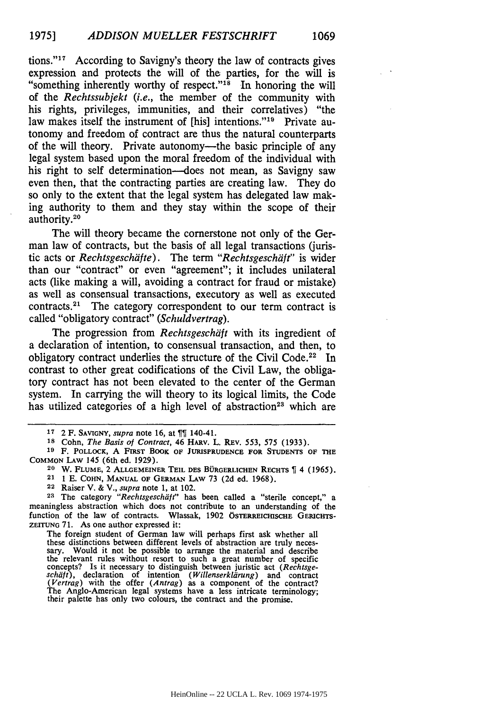tions."<sup>17</sup> According to Savigny's theory the law of contracts gives expression and protects the will of the parties, for the will is "something inherently worthy of respect."<sup>18</sup> In honoring the will of the *Rechtssubjekt (i.e.,* the member of the community with his rights, privileges, immunities, and their correlatives) "the law makes itself the instrument of [his] intentions."<sup>19</sup> Private autonomy and freedom of contract are thus the natural counterparts of the will theory. Private autonomy—the basic principle of any legal system based upon the moral freedom of the individual with his right to self determination—does not mean, as Savigny saw even then, that the contracting parties are creating law. They do so only to the extent that the legal system has delegated law making authority to them and they stay within the scope of their authority.20

The will theory became the cornerstone not only of the German law of contracts, but the basis of all legal transactions (juristic acts or *Rechtsgeschdfte).* The term *"Rechtsgeschaiit"* is wider than our "contract" or even "agreement"; it includes unilateral acts (like making a will, avoiding a contract for fraud or mistake) as well as consensual transactions, executory as well as executed contracts.<sup>21</sup> The category correspondent to our term contract is called "obligatory contract" *(Schuldvertrag).*

The progression from *Rechtsgeschiift* with its ingredient of a declaration of intention, to consensual transaction, and then, to obligatory contract underlies the structure of the Civil Code.<sup>22</sup> In contrast to other great codifications of the Civil Law, the obligatory contract has not been elevated to the center of the German system. In carrying the will theory to its logical limits, the Code has utilized categories of a high level of abstraction<sup>23</sup> which are

**<sup>28</sup>**The category *"Rechtsgeschiit"* **has been** called a "sterile concept," a meaningless abstraction which does not contribute to an understanding of the function of the law of contracts. Wlassak, 1902 ÖSTERREICHISCHE GERICHTS-**ZEITUNG** 71. As one author expressed it:

The foreign student of German law will perhaps first ask whether all these distinctions between different levels of abstraction are truly neces- sary. Would it not be possible to arrange the material and describe the relevant rules without resort to such a great number of specific concepts? Is it necessary to distinguish between juristic act *(Rechtsge- schiift),* declaration of intention *(Willenserkliirung)* and contract *(Vertrag)* with the offer *(Antrag)* as a component of the contract? The Anglo-American legal systems have a less intricate terminology; their palette has only two colours, the contract and the promise.

**<sup>17</sup>**2 F. **SAVIGNY,** *supra* note 16, at 140-41.

**<sup>18</sup>** Cohn, *The* Basis of Contract, 46 HARv. L. REV. 553, 575 (1933).

**<sup>19</sup>** F. **POLLOCK, A FIRST BOOK OF JURISPRUDENCE FOR STUDENTS OF THE COMMON LAW** 145 (6th ed. **1929).**

**<sup>20</sup>** W. **FLUME,** 2 **ALLGEMEINER TEIL DES BOIGERLICHEN RECHTS** 4 **(1965).** 21 1 **E. COHN, MANUAL OF GERMAN LAW 73 (2d** ed. **1968).**

<sup>22</sup> Raiser V. & V., *supra* **note 1,** at 102.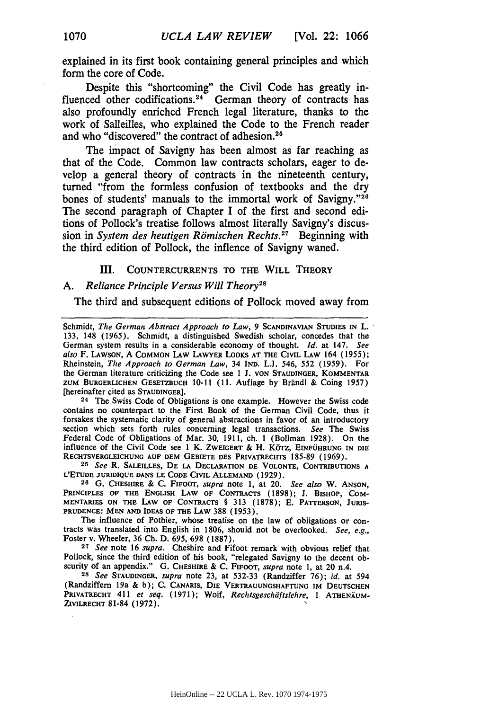explained in its first book containing general principles and which form the core of Code.

Despite this "shortcoming" the Civil Code has greatly influenced other codifications.<sup>24</sup> German theory of contracts has also profoundly enriched French legal literature, thanks to the work of Salleilles, who explained the Code to the French reader and who "discovered" the contract of adhesion.<sup>25</sup>

The impact of Savigny has been almost as far reaching as that of the Code. Common law contracts scholars, eager to develop a general theory of contracts in the nineteenth century, turned "from the formless confusion of textbooks and the dry bones of students' manuals to the immortal work of Savigny."26 The second paragraph of Chapter I of the first and second editions of Pollock's treatise follows almost literally Savigny's discussion in *System des heutigen Römischen Rechts*.<sup>27</sup> Beginning with the third edition of Pollock, the inflence of Savigny waned.

#### III. **COUNTERCURRENTS** TO THE WILL THEORY

# A. Reliance Principle Versus Will Theory<sup>21</sup>

The third and subsequent editions of Pollock moved away from

Schmidt, *The German Abstract Approach to Law,* 9 **SCANDINAVIAN** STUDIES **IN** L. 133, 148 (1965). Schmidt, a distinguished Swedish scholar, concedes that the German system results in a considerable economy of thought. *Id.* at 147. *See also* F. **LAWSON,** A COMMON LAW LAWYER LOOKS **AT** THE CIVIL LAW 164 (1955); Rheinstein, The *Approach to German Law,* 34 IND. L.J. 546, 552 (1959). For the German literature criticizing the Code see **1 J. VON STAUDINGER,** KOMMENTAR **ZUM BURGERLICHEN GESETZBUCH 10-11 (11.** Auflage **by** Briindl & Coing **1957)** [hereinafter cited as STAUDINGER].

**<sup>24</sup>**The Swiss Code of Obligations is one example. However the Swiss code contains no counterpart to the First Book of the German Civil Code, thus it forsakes the systematic clarity of general abstractions in favor of an introductory section which sets forth rules concerning legal transactions. *See* The Swiss Federal Code of Obligations of Mar. **30, 1911,** ch. **1** (Bollman **1928).** On the influence of the Civil Code see **1** K. ZWEIGERT & H. K6Tz, EINFOHRUNG IN DIE RECHTSVERGLEICHUNG **AUF** DEM **GEBIETE DES** PRIVATRECHTS **185-89 (1969).**

**25** *See* R. **SALEILLES, DE** LA DECLARATION **DE VOLONTE, CONTRIBUTIONS** <sup>A</sup> **L'ETUDE JURIDIQUE DANS LE CODE** CIVIL **ALLEMAND (1929).**

**26 G.** CHESHIRE **& C.** FIFOOT, *supra* note **1,** at 20. *See also* W. **ANSON,** PRINCIPLES OF THE ENGLISH LAW OF CONTRACTS (1898); J. BISHOP, COM-MENTARIES **ON** THE LAW OF **CONTRACTS** § **313 (1878); E. PATrERSON, JURIS-PRUDENCE: MEN AND IDEAS** OF THE LAW **388 (1953).**

The influence of Pothier, whose treatise on the law of obligations or contracts was translated into English in 1806, should not be overlooked. *See, e.g.,* Foster v. Wheeler, **36 Ch. D. 695, 698 (1887).**

**<sup>27</sup>***See* note **16** *supra.* Cheshire and Fifoot remark with obvious relief that Pollock, since the third edition of his book, "relegated Savigny to the decent obscurity of an appendix." **G.** CHESHIRE **& C.** FIFOOT, *supra* note **1,** at 20 n.4.

**<sup>28</sup>***See* **STAUDINOER,** *supra* note 23, at 532-33 (Randziffer 76); *id.* at 594 (Randziffem 19a & b); C. CANARIS, DIE **VERTRAUUNGSHAFTUNG** IM DEUTSCHEN PRIVATRECHT 411 et seq. (1971); Wolf, *Rechtsgeschäftslehre*, 1 ATHENÄUM-ZIVILRECHT **81-84 (1972).**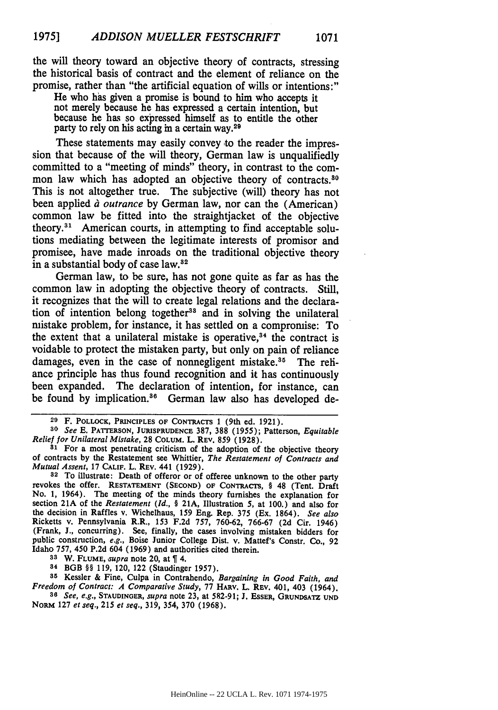the will theory toward an objective theory of contracts, stressing the historical basis of contract and the element of reliance on the promise, rather than "the artificial equation of wills or intentions:"

He who has given a promise is bound to him who accepts it not merely because he has expressed a certain intention, but because he has so expressed himself as to entitle the other party to rely on his acting in a certain way.<sup>29</sup>

These statements may easily convey to the reader the impression that because of the will theory, German law is unqualifiedly committed to a "meeting of minds" theory, in contrast to the common law which has adopted an objective theory of contracts.<sup>80</sup> This is not altogether true. The subjective (will) theory has not been applied *à outrance* by German law, nor can the (American) common law be fitted into the straightjacket of the objective theory.3' American courts, in attempting to find acceptable solutions mediating between the legitimate interests of promisor and promisee, have made inroads on the traditional objective theory in a substantial body of case law.<sup>32</sup>

German law, to be sure, has not gone quite as far as has the common law in adopting the objective theory of contracts. Still, it recognizes that the will to create legal relations and the declaration of intention belong together<sup>33</sup> and in solving the unilateral mistake problem, for instance, it has settled on a compromise: To the extent that a unilateral mistake is operative,  $34$  the contract is voidable to protect the mistaken party, but only on pain of reliance damages, even in the case of nonnegligent mistake.<sup>35</sup> The reliance principle has thus found recognition and it has continuously been expanded. The declaration of intention, for instance, can be found by implication.<sup>36</sup> German law also has developed de-

**<sup>33</sup>**W. FLUME, *eupra* note 20, at 4.

34 BGB *§§* 119, 120, 122 (Staudinger 1957).

**<sup>35</sup>**Kessler **&** Fine, Culpa in Contrahendo, *Bargaining in Good Faith, and Freedom of Contract: A Comparative Study,* 77 HARV. L. REv. 401, 403 (1964).

*86 See, e.g.,* **STAUDINGER,** *supra* note 23, at 582-91; J. ESSER, **GRUNDSATZ UND** NORM 127 *et seq.,* 215 *et seq.,* 319, 354, 370 (1968).

**<sup>29</sup>**F. POLLOCK, PRINCIPLES OF **CONTRACTS** 1 (9th ed. **1921).**

*<sup>30</sup> See* **E.** PATTERSON, JURISPRUDENCE **387, 388** (1955); Patterson, *Equitable Relief for Unilateral Mistake,* **28** COLUM. L. REV. **859** (1928).

<sup>&</sup>lt;sup>31</sup> For a most penetrating criticism of the adoption of the objective theory of contracts **by** the Restatement see Whittier, *The Restatement of Contracts and Mutual Assent,* 17 CALIF. L. REV. 441 (1929).

**<sup>32</sup>** To illustrate: Death of offeror or of offeree unknown to the other party revokes the offer. **RESTATEMENT** (SECOND) OF CONTRACTS, § 48 (Tent. Draft No. 1, 1964). The meeting of the minds theory furnishes the explanation for section **21A** of the *Restatement (Id., §* 21A, Illustration 5, at 100.) and also for the decision in Raffles v. Wichelhaus, 159 Eng. Rep. 375 (Ex. 1864). *See also* Ricketts v. Pennsylvania R.R., 153 F.2d 757, 760-62, 766-67 (2d Cir. 1946) (Frank, *J.,* concurring). See, finally, the cases involving mistaken bidders for public construction, *e.g.,* Boise Junior College Dist. v. Mattef's Constr. Co., 92 Idaho 757, 450 P.2d 604 (1969) and authorities cited therein.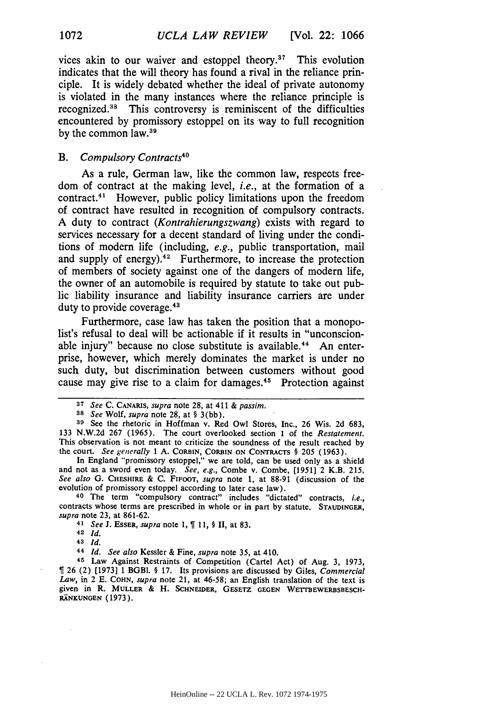vices akin to our waiver and estoppel theory." This evolution indicates that the will theory has found a rival in the reliance principle. It is widely debated whether the ideal of private autonomy is violated in the many instances where the reliance principle is recognized."8 This controversy is reminiscent of the difficulties encountered by promissory estoppel on its way to full recognition by the common law.<sup>39</sup>

#### *B. Compulsory Contracts40*

As a rule, German law, like the common law, respects freedom of contract at the making level, *i.e.,* at the formation of a contract. 41 However, public policy limitations upon the freedom of contract have resulted in recognition of compulsory contracts. A duty to contract *(Kontrahierungszwang)* exists with regard to services necessary for a decent standard of living under the conditions of modern life (including, *e.g.,* public transportation, mail and supply of energy). $42$  Furthermore, to increase the protection of members of society against one of the dangers of modern life, the owner of an automobile is required by statute to take out public liability insurance and liability insurance carriers are under duty to provide coverage.<sup>43</sup>

Furthermore, case law has taken the position that a monopolist's refusal to deal will be actionable if it results in "unconscionable injury" because no close substitute is available.<sup>44</sup> An enterprise, however, which merely dominates the market is under no such duty, but discrimination between customers without good cause may give rise to a claim for damages.<sup>45</sup> Protection against

*38 See* Wolf, *supra* note 28, at § 3(bb).

40 The term "compulsory contract" includes "dictated" contracts, *i.e.,* contracts whose terms are prescribed in whole or in part **by** statute. **STAUhNGEa,** *supra* note 23, at 861-62.

<sup>41</sup>*See* J. ESSER, *supra* note 1, 11, § **II,** at 83.

**48** *Id.*

**44** *Id. See also* Kessler & Fine, *supra* note 35, at 410.

**45** Law Against Restraints of Competition (Cartel Act) of Aug. 3, 1973, 26 (2) [1973] 1 BGBI. § 17. Its provisions are discussed by Giles, Commercial *Law,* in 2 E. **COHN,** *supra* note 21, at 46-58; an English translation of the text is given in R. **MULLER** & H. **SCHNEIDER, GESETZ GEGEN WETBEWERBSBESCH-RANKUNGEN (1973).**

**<sup>37</sup>***See* **C. CANARIS,** *supra* note **28,** at 411 & *passim.*

**<sup>39</sup>** See the rhetoric in Hoffman v. Red Owl Stores, Inc., 26 Wis. 2d 683, 133 N.W.2d 267 (1965). The court overlooked section 1 of the *Restatement.* This observation is not meant to criticize the soundness of the result reached by the court. *See generally 1* A. CORBIN, CORBIN **ON CONTRACTS** § 205 (1963).

In England "promissory estoppel," we are told, can be used only as a shield and not as a sword even today. *See, e.g.,* Combe v. Combe, [1951] 2 K.B. 215. *See also G.* CHESHIRE & C. FIFOOT, *supra* note 1, at 88-91 (discussion of the evolution of promissory estoppel according to later case law).

<sup>42</sup> *Id.*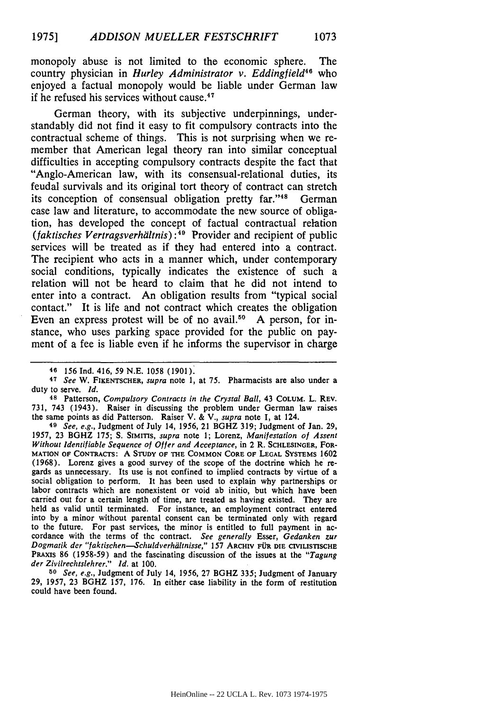monopoly abuse is not limited to the economic sphere. The country physician in *Hurley Administrator v. Eddingfield46* who enjoyed a factual monopoly would be liable under German law if he refused his services without cause. <sup>47</sup>

German theory, with its subjective underpinnings, understandably did not find it easy to fit compulsory contracts into the contractual scheme of things. This is not surprising when we remember that American legal theory ran into similar conceptual difficulties in accepting compulsory contracts despite the fact that "Anglo-American law, with its consensual-relational duties, its feudal survivals and its original tort theory of contract can stretch its conception of consensual obligation pretty far."<sup>48</sup> German case law and literature, to accommodate the new source of obligation, has developed the concept of factual contractual relation *(faktisches Vertragsverhiiltnis): 9* Provider and recipient of public services will be treated as if they had entered into a contract. The recipient who acts in a manner which, under contemporary social conditions, typically indicates the existence of such a relation will not be heard to claim that he did not intend to enter into a contract. An obligation results from "typical social contact." It is life and not contract which creates the obligation Even an express protest will be of no avail.<sup>50</sup> A person, for instance, who uses parking space provided for the public on payment of a fee is liable even if he informs the supervisor in charge

**49** *See, e.g.,* Judgment of July 14, 1956, 21 BGHZ 319; Judgment of Jan. 29, 1957, 23 BGHZ 175; S. **SIMITS,** *supra* note 1; Lorenz, *Manifestation of Assent Without Identifiable Sequence of Offer and Acceptance,* in 2 R. SCHLESINGER, FOR-**MATION** OF **CONTRACTS: A STUDY OF THE COMMON CORE OF LEGAL SYSTEMS** 1602 **(1968).** Lorenz gives a good survey of the scope of the doctrine which he re gards as unnecessary. Its use is not confined to implied contracts **by** virtue of a social obligation to perform. It has been used to explain why partnerships or labor contracts which are nonexistent or void ab initio, but which have been carried out for a certain length of time, are treated as having existed. They are held as valid until terminated. For instance, an employment contract entered into by a minor without parental consent can be terminated only with regard to the future. For past services, the minor is entitled to full payment in accordance with the terms of the contract. *See generally* Esser, *Gedanken zur Dogmatik der "faktischen-Schuldverhiltnisse,"* 157 **ARCHlV f DIE CIVILISTISCHE** PRAXIS 86 (1958-59) and the fascinating discussion of the issues at the *"Tagung der Zivilrechtslehrer." Id.* at 100.

*50 See, e.g.,* Judgment of July 14, 1956, 27 BGHZ 335; Judgment of January **29,** 1957, 23 BGHZ **157,** 176. In either case liability in the form of restitution could have been found.

**<sup>46</sup>** 156 Ind. 416, 59 N.E. 1058 (1901).

<sup>47</sup>See W. FIKENTSCHER, supra note 1, at 75. Pharmacists are also under a duty to serve. **Id.**

**<sup>48</sup>** Patterson, Compulsory *Contracts in the Crystal Ball,* 43 COLUM. L. REv. 731, 743 (1943). Raiser in discussing the problem under German law raises the same points as did Patterson. Raiser V. & V., *supra* note 1, at 124.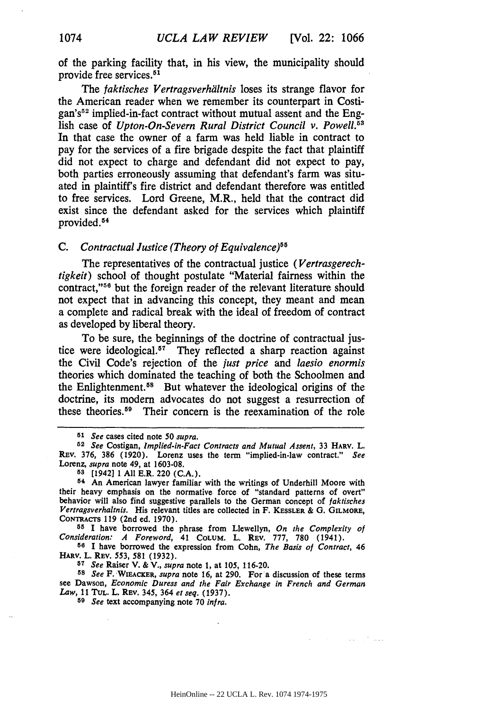of the parking facility that, in his view, the municipality should provide free services.<sup>51</sup>

The *faktisches Vertragsverhdltnis* loses its strange flavor for the American reader when we remember its counterpart in Costigan's<sup>52</sup> implied-in-fact contract without mutual assent and the English case of *Upton-On-Severn Rural District Council v. Powell.*<sup>53</sup> In that case the owner of a farm was held liable in contract to pay for the services of a fire brigade despite the fact that plaintiff did not expect to charge and defendant did not expect to pay, both parties erroneously assuming that defendant's farm was situated in plaintiff's fire district and defendant therefore was entitled to free services. Lord Greene, M.R., held that the contract did exist since the defendant asked for the services which plaintiff provided.<sup>54</sup>

### *C. Contractual Justice (Theory of Equivalence)"*

The representatives of the contractual justice *(Vertrasgerechtigkeit)* school of thought postulate "Material fairness within the contract,"<sup>56</sup> but the foreign reader of the relevant literature should not expect that in advancing this concept, they meant and mean a complete and radical break with the ideal of freedom of contract as developed by liberal theory.

To be sure, the beginnings of the doctrine of contractual justice were ideological.<sup>57</sup> They reflected a sharp reaction against the Civil Code's rejection of the *just price and laesio enormis* theories which dominated the teaching of both the Schoolmen and the Enlightenment.<sup>58</sup> But whatever the ideological origins of the doctrine, its modern advocates do not suggest a resurrection of these theories.59 Their concern is the reexamination of the role

**<sup>55</sup>**I have borrowed the phrase from Llewellyn, *On the Complexity of Consideration: A Foreword,* 41 **COLUM.** L. **REv. 777, 780** (1941).

**55 I** have borrowed the expression from Cohn, *The Basis of Contract,* 46 **HARv.** L. **REV.** 553, **581 (1932).**

**5T** *See* Raiser V. **& V.,** *supra* note **1,** at **105, 116-20.**

*<sup>58</sup>See* F. LWIEACKER, *supra* note **16,** at **290.** For a discussion of these terms see Dawson, *Economic Duress and the Fair Exchange in French and German Law,* **11 TUL.** L. REV. 345, 364 *et seq.* **(1937).**

*<sup>59</sup>See* text accompanying note **70** *infra.*

وسندرج والمتحادي

*<sup>51</sup> See* cases cited note **50** *supra.*

*<sup>52</sup>See* Costigan, *Implied-in-Fact Contracts and Mutual Assent,* **33 HARv.** L. REV. **376, 386 (1920).** Lorenz uses the term "implied-in-law contract." *See* Lorenz, *supra* note 49, at **1603-08.**

**<sup>58</sup>** [1942] 1 **All** E.R. 220 **(C.A.).**

**<sup>5&#</sup>x27;** An American lawyer familiar with the writings of Underhill Moore with their heavy emphasis on the normative force of "standard patterns of overt" behavior will also find suggestive parallels to the German concept of *faktisches Vertragsverhaltnis.* His relevant titles are collected in F. KESSLER **& G. GILMORE, CONTRACTS 119** (2nd ed. **1970).**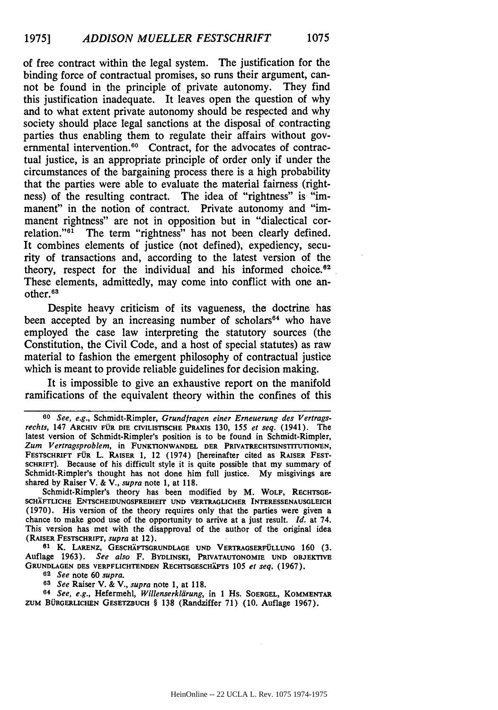of free contract within the legal system. The justification for the binding force of contractual promises, so runs their argument, cannot be found in the principle of private autonomy. They find this justification inadequate. It leaves open the question of why and to what extent private autonomy should be respected and why society should place legal sanctions at the disposal of contracting parties thus enabling them to regulate their affairs without governmental intervention.<sup>60</sup> Contract, for the advocates of contractual justice, is an appropriate principle of order only if under the circumstances of the bargaining process there is a high probability that the parties were able to evaluate the material fairness (rightness) of the resulting contract. The idea of "rightness" is "immanent" in the notion of contract. Private autonomy and "immanent rightness" are not in opposition but in "dialectical correlation."<sup>61</sup> The term "rightness" has not been clearly defined. It combines elements of justice (not defined), expediency, security of transactions and, according to the latest version of the theory, respect for the individual and his informed choice. $62$ These elements, admittedly, may come into conflict with one another.<sup>63</sup>

Despite heavy criticism of its vagueness, the doctrine has been accepted by an increasing number of scholars<sup>64</sup> who have employed the case law interpreting the statutory sources (the Constitution, the Civil Code, and a host of special statutes) as raw material to fashion the emergent philosophy of contractual justice which is meant to provide reliable guidelines for decision making.

It is impossible to give an exhaustive report on the manifold ramifications of the equivalent theory within the confines of this

Schmidt-Rimpler's theory has been modified by M. WOLF, RECHTSGE-**SCHAFTLICHE** ENTSCHEIDUNGSFREIHEIT **UND** VERTRAGLICHER **INTERESSENAUSGLEICH (1970).** His version of the theory requires only that the parties were given a chance to make good use of the opportunity to arrive at a just result. *Id.* at 74. This version has met with the disapproval of the author of the original idea (RAISER FESTSCHRIFT, *supra* at 12).

**<sup>61</sup>**K. **LARENZ, GESCHAFTSGRUNDLAOE UND VERTRAGSERFULLUNG 160 (3.** Auflage 1963). *See also* F. **BYDLINSKI,** PRIVATAUTONOMIE **UND OBJEKTIVE GRUNDLAGEN DES** VERPFLICHTENDEN **RECHTSGESCHXFTS** *105 et seq.* (1967).

*62 See* note 60 *supra.*

*63 See* Raiser V. & V., *supra* note 1, at **118.**

*64 See, e.g.,* Hefermehl, *Willenserkilirung,* in **1** Hs. **SOERGEL, KOMMENTAR ZUM BORoERLICHEN GESETZDUCH** § **138** (Randziffer **71) (10.** Auflage **1967).**

*<sup>60</sup> See, e.g.,* Schmidt-Rimpler, *Grundfragen einer Erneuerung des Vertragsrechis,* 147 ARCHIV **FOR DIE** CIVILISTISCHE PRAXIS **130, 155** *et seq.* (1941). The latest version of Schmidt-Rimpler's position is to be found in Schmidt-Rimpler, *Zum Vertragsproblem,* in **FUNKTIONWANDEL DER PRIVATRECHTSINSTITUTIONEN,** FESTSCHRIFT FÜR L. RAISER 1, 12 (1974) [hereinafter cited as RAISER FESTscHRIFT]. Because of his difficult style it is quite possible that my summary of Schmidt-Rimpler's thought has not done him full justice. **My** misgivings are shared **by** Raiser V. **&** V., *supra* note **1, at 118.**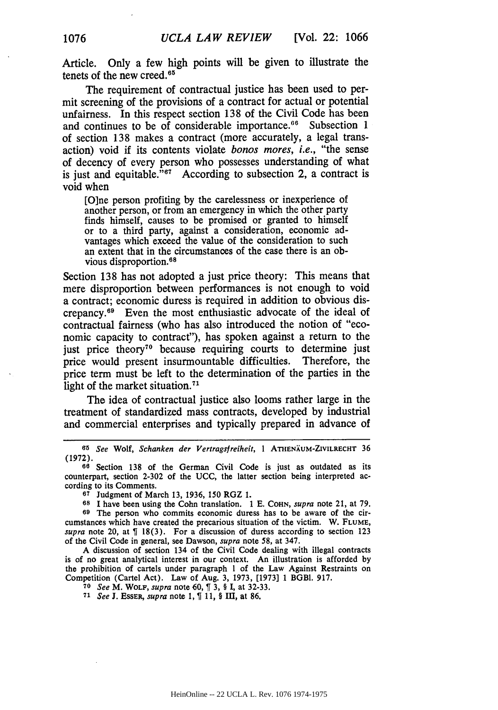Article. Only a few high points will be given to illustrate the tenets of the new creed.<sup>65</sup>

The requirement of contractual justice has been used to permit screening of the provisions of a contract for actual or potential unfairness. In this respect section 138 of the Civil Code has been and continues to be of considerable importance.<sup>66</sup> Subsection 1 of section 138 makes a contract (more accurately, a legal transaction) void if its contents violate *bonos mores, i.e.,* "the sense of decency of every person who possesses understanding of what is just and equitable." $67$  According to subsection 2, a contract is void when

[O]ne person profiting by the carelessness or inexperience of another person, or from an emergency in which the other party finds himself, causes to be promised or granted to himself or to a third party, against a consideration, economic advantages which exceed the value of the consideration to such an extent that in the circumstances of the case there is an obvious disproportion.<sup>64</sup>

Section 138 has not adopted a just price theory: This means that mere disproportion between performances is not enough to void a contract; economic duress is required in addition to obvious discrepancy.69 Even the most enthusiastic advocate of the ideal of contractual fairness (who has also introduced the notion of "economic capacity to contract"), has spoken against a return to the just price theory<sup>70</sup> because requiring courts to determine just price would present insurmountable difficulties. Therefore, the price term must be left to the determination of the parties in the light of the market situation.<sup>71</sup>

The idea of contractual justice also looms rather large in the treatment of standardized mass contracts, developed by industrial and commercial enterprises and typically prepared in advance of

**67** Judgment of March 13, 1936, 150 RGZ 1.

A discussion of section 134 of the Civil Code dealing with illegal contracts is of no great analytical interest in our context. An illustration is afforded by the prohibition of cartels under paragraph 1 of the Law Against Restraints on Competition (Cartel Act). Law of Aug. 3, 1973, [1973] 1 BGBI. 917.

**<sup>70</sup>***See* M. **WOLF,** *supra* note 60, **3,** § **I,** at 32-33.

**<sup>71</sup>***See* **J. EssER,** *supra* note **1,** T **11,** § III, at **86.**

*<sup>65</sup>*See Wolf, Schanken der *Vertragsfreiheit,* I ATHENXUM-ZIVILRECHT 36 (1972).

**<sup>60</sup>** Section 138 of the German Civil Code is just as outdated as its counterpart, section 2-302 of the UCC, the latter section being interpreted according to its Comments.

**<sup>68</sup>**I have been using the Cohn translation. 1 E. **COHN,** *supra* note 21, at 79.

**<sup>69</sup>** The person who commits economic duress has to be aware of the circumstances which have created the precarious situation of the victim. W. **FLUME,** *supra* note 20, at  $\int$  18(3). For a discussion of duress according to section 123 of the Civil Code in general, see Dawson, *supra* note 58, at 347.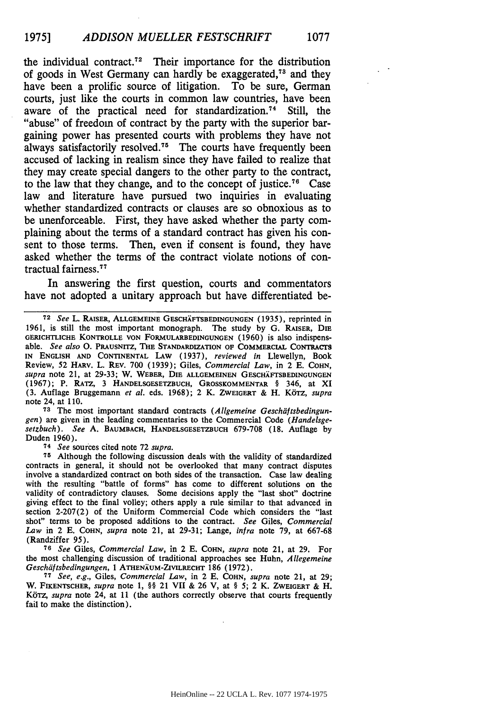the individual contract.<sup> $72$ </sup> Their importance for the distribution of goods in West Germany can hardly be exaggerated,<sup> $73$ </sup> and they have been a prolific source of litigation. To be sure, German courts, just like the courts in common law countries, have been aware of the practical need for standardization.74 Still, the "abuse" of freedom of contract **by** the party with the superior bargaining power has presented courts with problems they have not always satisfactorily resolved.<sup> $75$ </sup> The courts have frequently been accused of lacking in realism since they have failed to realize that they may create special dangers to the other party to the contract, to the law that they change, and to the concept of justice.<sup>76</sup> Case law and literature have pursued two inquiries in evaluating whether standardized contracts or clauses are so obnoxious as to be unenforceable. First, they have asked whether the party complaining about the terms of a standard contract has given his consent to those terms. Then, even if consent is found, they have asked whether the terms of the contract violate notions of contractual fairness."

In answering the first question, courts and commentators have not adopted a unitary approach but have differentiated be-

**73** The most important standard contracts *(Allgemeine Geschiiftsbedingungen)* are given in the leading commentaries to the Commercial Code *(Handelsge*setzbuch). *See* **A. BAUMBACH, HANDELSGESETZBUCH** 679-708 (18. Auflage **by** Duden 1960).

*74 See* sources cited note **72** *supra.*

**<sup>75</sup>**Although the following discussion deals with the validity of standardized contracts in general, it should not be overlooked that many contract disputes involve a standardized contract on both sides of the transaction. Case law dealing with the resulting "battle of forms" has come to different solutions on the validity of contradictory clauses. Some decisions apply the "last shot" doctrine giving effect to the final volley; others apply a rule similar to that advanced in section 2-207(2) of the Uniform Commercial Code which considers the "last shot" terms to be proposed additions to the contract. *See* Giles, *Commercial Law* in 2 E. **COHN,** *supra* note 21, at **29-31;** Lange, *infra* note **79,** at 667-68 (Randziffer 95).

**<sup>76</sup>***See* Giles, *Commercial Law,* in 2 **E. COHN,** *supra* note 21, at **29.** For the most challenging discussion of traditional approaches see Huhn, *Allegemeine* Geschdftsbedingungen, 1 ATHENXUM-ZIVILRECHT 186 **(1972).**

**77** See, *e.g.,* Giles, *Commercial Law,* in 2 E. **COHN,** *supra* note 21, at 29; W. FIKENTSCHER, *supra* note 1, §§ 21 VII & 26 V, at § 5; 2 K. **ZWEIGERT** & H. *KbTz, supra* note 24, at 11 (the authors correctly observe that courts frequently fail to make the distinction).

**<sup>72</sup>** *See* L. RAISER, **ALLGEMEINE GESCHXFTSBEDINGUNGEN** (1935), reprinted in 1961, is still the most important monograph. The study **by** G. **RAISER, DIE GERICHTLICHE** KONTROLLE **VON FORMULARBEDINGUNGEN** (1960) is also indispensable. *See also* **0. PRAUSNITZ, THE STANDARDIZATION OF COMMERCIAL CONTRAcrS IN ENGLISH AND** CONTINENTAL LAW (1937), *reviewed in* Llewellyn, Book Review, 52 HARv. L. REv. 700 (1939); Giles, *Commercial Law,* in 2 E. **COHN,** *supra* note 21, at 29-33; W. WEBER, **DIE ALLGEMEINEN GESCHXFTSBEDINGUNGEN** (1967); P. RATz, 3 **HANDELSGESETZBUCH,** GROSSKOMMENTAR § 346, at XI (3. Auflage Bruggemann *et al.* eds. 1968); 2 K. **ZWEiGERT** & H. K6TZ, *supra* note 24, at 110.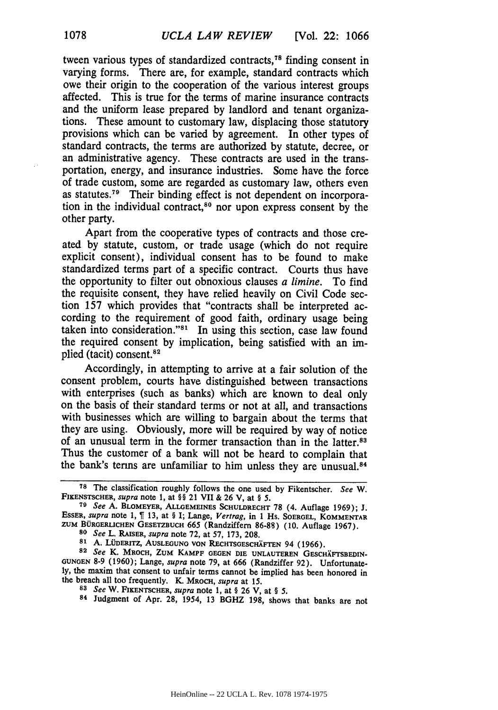tween various types of standardized contracts,<sup>78</sup> finding consent in varying forms. There are, for example, standard contracts which owe their origin to the cooperation of the various interest groups affected. This is true for the terms of marine insurance contracts and the uniform lease prepared **by** landlord and tenant organizations. These amount to customary law, displacing those statutory provisions which can be varied **by** agreement. In other types of standard contracts, the terms are authorized **by** statute, decree, or an administrative agency. These contracts are used in the transportation, energy, and insurance industries. Some have the force of trade custom, some are regarded as customary law, others even as statutes.79 Their binding effect is not dependent on incorporation in the individual contract,<sup>80</sup> nor upon express consent by the other party.

Apart from the cooperative types of contracts and those created **by** statute, custom, or trade usage (which do not require explicit consent), individual consent has to be found to make standardized terms part of a specific contract. Courts thus have the opportunity to filter out obnoxious clauses *a limine.* To find the requisite consent, they have relied heavily on Civil Code section **157** which provides that "contracts shall be interpreted according to the requirement of good faith, ordinary usage being taken into consideration." $81$  In using this section, case law found the required consent by implication, being satisfied with an implied (tacit) consent.<sup>82</sup>

Accordingly, in attempting to arrive at a fair solution of the consent problem, courts have distinguished between transactions with enterprises (such as banks) which are known to deal only on the basis of their standard terms or not at all, and transactions with businesses which are willing to bargain about the terms that they are using. Obviously, more will be required by way of notice of an unusual term in the former transaction than in the latter.<sup>83</sup> Thus the customer of a bank will not be heard to complain that the bank's terms are unfamiliar to him unless they are unusual.<sup>84</sup>

**<sup>78</sup>**The classification roughly follows the one used **by** Fikentscher. *See* W. **FIKENSTSCHER,** *supra* **note 1,** at §§ 21 **VII &** 26 V, at § *5.*

**<sup>79</sup>***See* **A. BLOMEYER, ALLGEMEINES SCHULDRECHT 78** (4. Auflage 1969); **J. ESSER,** *supra* note 1, **13,** at § **I; Lange,** *Vertrag,* **in** 1 **Hs. SOERoEL, KOMMENTAR ZUM BURGERLICHEN GESETZBUCH** 665 **(Randziffern 86-88) (10. Auflage** 1967). **<sup>80</sup>***See* L. **RAISER,** *supra* note **72,** at 57, 173, 208.

<sup>81</sup> A. LÜDERITZ, AUSLEGUNG VON RECHTSGESCHÄFTEN 94 (1966).

**<sup>82</sup>** *See* K. **MROCH, ZUM KAMPF GEGEN DIE UNLAUTEREN GESCHXFTSBEDIN. GUNGEN 8-9 (1960);** Lange, *supra* **note 79, at 666 (Randziffer 92). Unfortunately,** the maxim that consent to unfair terms cannot be implied has been honored in the breach all too frequently. K. MROCH, *supra* at **15.**

*<sup>83</sup>See* W. **FIKENTSCHER,** *supra* **note 1, at** § **26** V, at § *5.*

**<sup>84</sup>**Judgment **of** Apr. 28, 1954, 13 BGHZ 198, shows that banks are not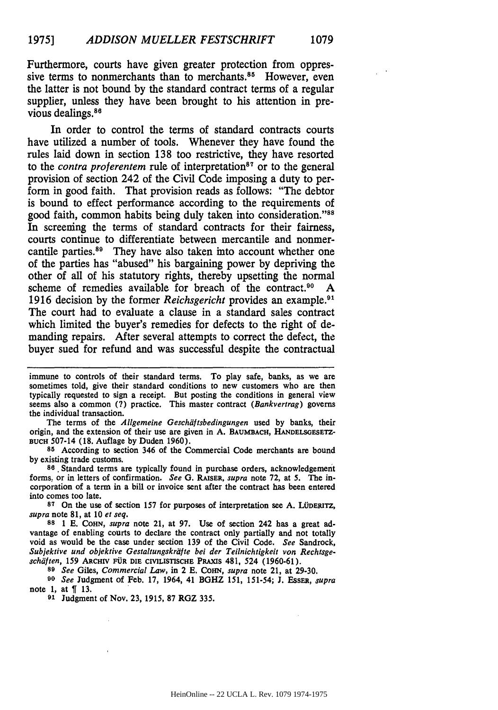Furthermore, courts have given greater protection from oppressive terms to nonmerchants than to merchants. $85$  However, even the latter is not bound by the standard contract terms of a regular supplier, unless they have been brought to his attention in previous dealings.<sup>86</sup>

In order to control the terms of standard contracts courts have utilized a number of tools. Whenever they have found the rules laid down in section 138 too restrictive, they have resorted to the *contra proferentem* rule of interpretation<sup>87</sup> or to the general provision of section 242 of the Civil Code imposing a duty to perform in good faith. That provision reads as follows: "The debtor is bound to effect performance according to the requirements of good faith, common habits being duly taken into Consideration."88 In screening the terms of standard contracts for their fairness, courts continue to differentiate between mercantile and nonmercantile parties.89 They have also taken into account whether one of the parties has "abused" his bargaining power by depriving the other of all of his statutory rights, thereby upsetting the normal scheme of remedies available for breach of the contract.<sup>90</sup> A 1916 decision **by** the former *Reichsgericht* provides an example.<sup>9</sup> The court had to evaluate a clause in a standard sales contract which limited the buyer's remedies for defects to the right of demanding repairs. After several attempts to correct the defect, the buyer sued for refund and was successful despite the contractual

The terms of the Allgemeine Geschäftsbedingungen used by banks, their origin, and the extension of their use are given in **A. BAUMBACH,** HANDELSGESETZ-**BUCH** 507-14 **(18.** Auflage **by** Duden 1960).

**85** According to section 346 of the Commercial Code merchants are bound **by** existing trade customs.

**88** Standard terms are typically found in purchase orders, acknowledgement forms. or in letters of confirmation. *See G.* **RAISER,** *supra* note **72,** at **5.** The incorporation of a term in a bill or invoice sent after the contract has been entered into comes too late.

87 On the use of section 157 for purposes of interpretation see A. LÜDERITZ, *supra* note **81,** at **10** *et seq.*

**88 1 E. COHN,** *supra* note 21, at **97.** Use of section 242 has a great advantage of enabling courts to declare the contract only partially and not totally void as would be the case under section **139** of the Civil Code. *See* Sandrock, Subjektive und objektive Gestaltungskriifte bei der Teilnichtigkeit von *Rechtsgeschdften,* 159 ARCHIV **FUR DIE** CIVILISTISCHE PRAXIS 481, 524 (1960-61).

*89 See* Giles, *Commercial Law,* in 2 **E.** CoHN, *supra* note 21, at 29-30.

*90 See* Judgment of Feb. 17, 1964, 41 BGHZ 151, 151-54; J. EssER, *supra* note 1, at **[** 13.

**91** Judgment of Nov. 23, 1915, **87** RGZ 335.

immune to controls of their standard terms. To play safe, banks, as we are sometimes told, give their standard conditions to new customers who are then typically requested to sign a receipt. But posting the conditions in general view seems also a common (7) practice. This master contract (Bankvertrag) governs the individual transaction.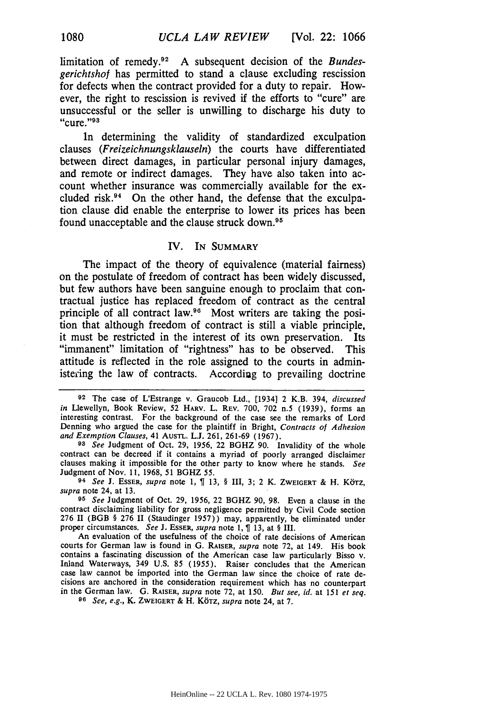limitation of remedy.<sup>92</sup> A subsequent decision of the *Bundesgerichtshof* has permitted to stand a clause excluding rescission for defects when the contract provided for a duty to repair. However, the right to rescission is revived if the efforts to "cure" are unsuccessful or the seller is unwilling to discharge his duty to "cure." $93$ 

In determining the validity of standardized exculpation clauses *(Freizeichnungsklauseln)* the courts have differentiated between direct damages, in particular personal injury damages, and remote or indirect damages. They have also taken into account whether insurance was commercially available for the excluded risk. $94$  On the other hand, the defense that the exculpation clause did enable the enterprise to lower its prices has been found unacceptable and the clause struck down.<sup>95</sup>

### IV. IN **SUMMARY**

The impact of the theory of equivalence (material fairness) on the postulate of freedom of contract has been widely discussed, but few authors have been sanguine enough to proclaim that contractual justice has replaced freedom of contract as the central principle of all contract law.90 Most writers are taking the position that although freedom of contract is still a viable principle, it must be restricted in the interest of its own preservation. Its "immanent" limitation of "rightness" has to be observed. This attitude is reflected in the role assigned to the courts in administering the law of contracts. According to prevailing doctrine

*93 See* Judgment of Oct. 29, 1956, 22 BGHZ **90.** Invalidity of the whole contract can **be** decreed if it contains a myriad of poorly arranged disclaimer clauses making it impossible for the other party to know where he stands. *See* Judgment of Nov. 11, **1968,** 51 BGHZ **55.**

**<sup>94</sup>***See* **J.** ESSER, *supra* note **1,** 13, § III, **3;** 2 K. ZWEIGERT **&** H. Korz, *supra* note 24, at **13.**

*95 See* Judgment of Oct. 29, 1956, 22 BGHZ 90, **98.** Even a clause in the contract disclaiming liability for gross negligence permitted **by** Civil Code section 276 **II** (BGB § 276 **II** (Staudinger **1957))** may, apparently, be eliminated under proper circumstances. *See* **J.** ESSER, *supra* note **1, 13,** at § III.

An evaluation of the usefulness of the choice of rate decisions of American courts for German law is found in G. **RAISER,** *supra* note **72,** at 149. His book contains a fascinating discussion of the American case law particularly Bisso v. Inland Waterways, 349 U.S. 85 (1955). Raiser concludes that the American case law cannot be imported into the German law since the choice of rate **de**cisions are anchored in the consideration requirement which has no counterpart in the German law. **G.** RAISER, *supra* note **72,** at **150.** *But see, id.* at 151 *et seq. <sup>06</sup>See, e.g.,* K. ZWEIGERT & H. K6TZ, *supra* note 24, at **7.**

**<sup>92</sup>** The case of L'Estrange v. Graucob Ltd., [1934] 2 K.B. 394, *discussed in Llewellyn, Book Review, 52 HARV. L. REV. 700, 702 n.5 (1939), forms an interesting contrast. For the background of the case see the remarks of Lord* Denning who argued the case for the plaintiff in Bright, *Contracts of Adhesion and Exemption Clauses,* 41 AusTL. **L.J.** 261, 261-69 (1967).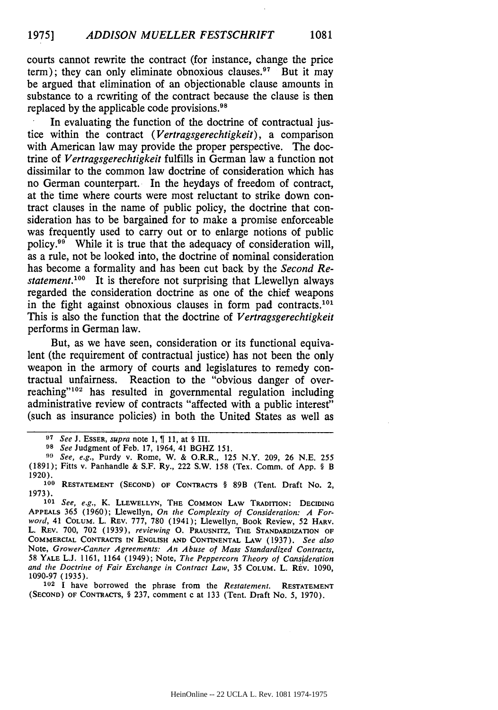courts cannot rewrite the contract (for instance, change the price term); they can only eliminate obnoxious clauses.<sup>97</sup> But it may be argued that elimination of an objectionable clause amounts in substance to a rewriting of the contract because the clause is then replaced **by** the applicable code provisions.98

In evaluating the function of the doctrine of contractual justice within the contract *(Vertragsgerechtigkeit),* a comparison with American law may provide the proper perspective. The doctrine of *Vertragsgerechtigkeit* fulfills in German law a function not dissimilar to the common law doctrine of consideration which has no German counterpart. In the heydays of freedom of contract, at the time where courts were most reluctant to strike down contract clauses in the name of public policy, the doctrine that consideration has to be bargained for to make a promise enforceable was frequently used to carry out or to enlarge notions of public policy.99 While it is true that the adequacy of consideration will, as a rule, not be looked into, the doctrine of nominal consideration has become a formality and has been cut back **by** the *Second Restatement.*<sup>100</sup> It is therefore not surprising that Llewellyn always regarded the consideration doctrine as one of the chief weapons in the fight against obnoxious clauses in form pad contracts.<sup>101</sup> This is also the function that the doctrine of *Vertragsgerechtigkeit* performs in German law.

But, as we have seen, consideration or its functional equivalent (the requirement of contractual justice) has not been the only weapon in the armory of courts and legislatures to remedy contractual unfairness. Reaction to the "obvious danger of overreaching"<sup>102</sup> has resulted in governmental regulation including administrative review of contracts "affected with a public interest" (such as insurance policies) in both the United States as well as

**102 I have borrowed the phrase from the** *Restatement.* **RESTATEMENT (SECOND) OF CONTRACTS,** § 237, comment c at 133 (Tent. Draft No. 5, 1970).

**<sup>07</sup>** See **J.** ESSER, supra **note** 1, **1** 11, at § **III.**

**<sup>98</sup>** See **Judgment of** Feb. **17,** 1964, 41 BGHZ 151.

*<sup>9&#</sup>x27;* See, e.g., Purdy v. Rome, W. & O.R.R., 125 N.Y. 209, 26 N.E. 255 (1891); Fitts v. Panhandle & S.F. Ry., 222 S.W. 158 (Tex. Comm. of App. § B 1920).

**<sup>100</sup> RESTATEMENT (SECOND) OF CONTRACTS** § 89B (Tent. **Draft No.** 2, 1973).

**<sup>101</sup>** See, e.g., K. LLEWELLYN, **THE COMMON** LAW TRADITON: **DECIDING APPEALS** 365 (1960); Llewellyn, On the Complexity *of Consideration: A Forword,* 41 COLUM. L. REV. 777, 780 (1941); Llewellyn, **Book Review,** 52 HARV. L. REv. 700, 702 **(1939),** *reviewing 0.* PRAUSNiTZ, THE STANDARDIZATION OF **COMMERCIAL CONTRACTS** IN **ENGLISH AND CONTINENTAL** LAW (1937). *See also* **Note,** Grower-Canner *Agreements: An Abuse of Mass Standardized Contracts,* 58 YALE L.J. 1161, 1164 (1949); **Note,** *The Peppercorn Theory of Cansideration and the* Doctrine *of Fair Exchange in Contract Law,* 35 **COLUM.** L. REV. 1090, 1090-97 **(1935).**